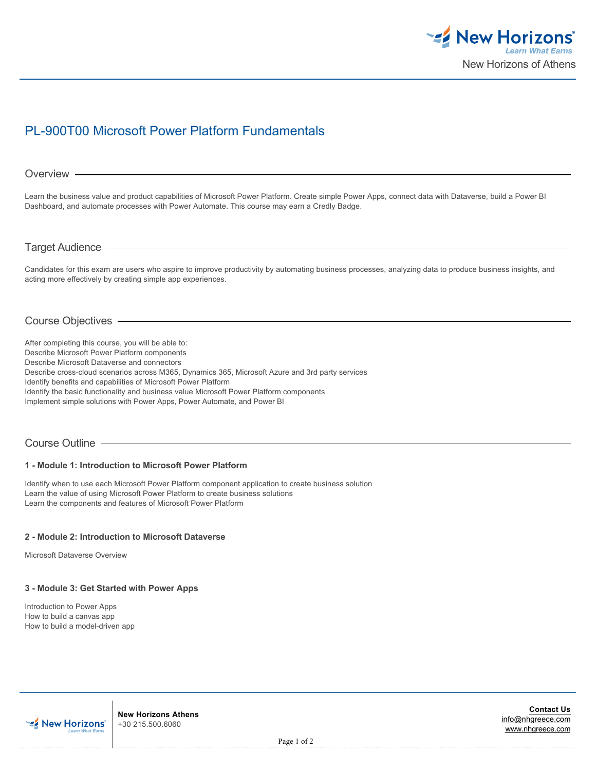

# PL-900T00 Microsoft Power Platform Fundamentals

#### Overview -

Learn the business value and product capabilities of Microsoft Power Platform. Create simple Power Apps, connect data with Dataverse, build a Power BI Dashboard, and automate processes with Power Automate. This course may earn a Credly Badge.

Target Audience

Candidates for this exam are users who aspire to improve productivity by automating business processes, analyzing data to produce business insights, and acting more effectively by creating simple app experiences.

# Course Objectives

After completing this course, you will be able to: Describe Microsoft Power Platform components Describe Microsoft Dataverse and connectors Describe cross-cloud scenarios across M365, Dynamics 365, Microsoft Azure and 3rd party services Identify benefits and capabilities of Microsoft Power Platform Identify the basic functionality and business value Microsoft Power Platform components Implement simple solutions with Power Apps, Power Automate, and Power BI

#### Course Outline

#### **1 - Module 1: Introduction to Microsoft Power Platform**

Identify when to use each Microsoft Power Platform component application to create business solution Learn the value of using Microsoft Power Platform to create business solutions Learn the components and features of Microsoft Power Platform

#### **2 - Module 2: Introduction to Microsoft Dataverse**

Microsoft Dataverse Overview

#### **3 - Module 3: Get Started with Power Apps**

Introduction to Power Apps How to build a canvas app How to build a model-driven app



**New Horizons Athens** +30 215.500.6060